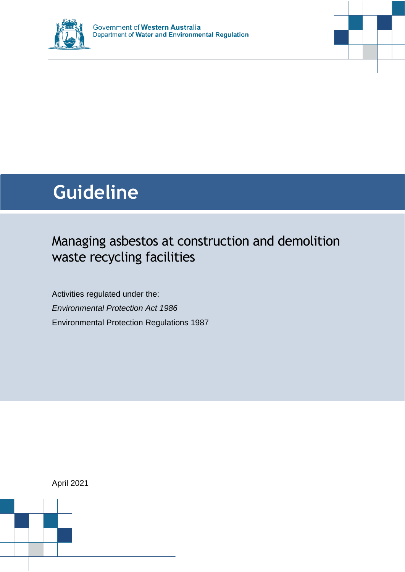

# **Guideline**

# Managing asbestos at construction and demolition waste recycling facilities

Activities regulated under the: *Environmental Protection Act 1986* Environmental Protection Regulations 1987

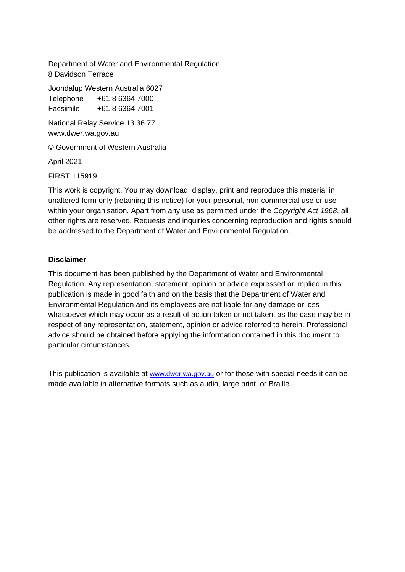Department of Water and Environmental Regulation 8 Davidson Terrace

Joondalup Western Australia 6027 Telephone +61 8 6364 7000

Facsimile +61 8 6364 7001

National Relay Service 13 36 77 www.dwer.wa.gov.au

© Government of Western Australia

April 2021

FIRST 115919

This work is copyright. You may download, display, print and reproduce this material in unaltered form only (retaining this notice) for your personal, non-commercial use or use within your organisation. Apart from any use as permitted under the *Copyright Act 1968*, all other rights are reserved. Requests and inquiries concerning reproduction and rights should be addressed to the Department of Water and Environmental Regulation.

#### **Disclaimer**

This document has been published by the Department of Water and Environmental Regulation. Any representation, statement, opinion or advice expressed or implied in this publication is made in good faith and on the basis that the Department of Water and Environmental Regulation and its employees are not liable for any damage or loss whatsoever which may occur as a result of action taken or not taken, as the case may be in respect of any representation, statement, opinion or advice referred to herein. Professional advice should be obtained before applying the information contained in this document to particular circumstances.

This publication is available at [www.dwer.wa.gov.au](http://www.dwer.wa.gov.au/) or for those with special needs it can be made available in alternative formats such as audio, large print, or Braille.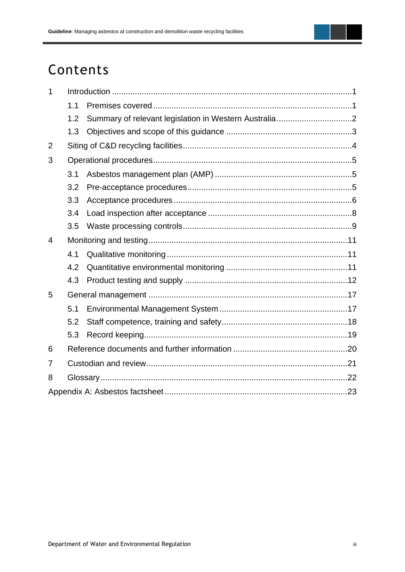# Contents

| 1 |     |  |  |  |
|---|-----|--|--|--|
|   | 1.1 |  |  |  |
|   | 1.2 |  |  |  |
|   | 1.3 |  |  |  |
| 2 |     |  |  |  |
| 3 |     |  |  |  |
|   | 3.1 |  |  |  |
|   | 3.2 |  |  |  |
|   | 3.3 |  |  |  |
|   | 3.4 |  |  |  |
|   | 3.5 |  |  |  |
| 4 |     |  |  |  |
|   | 4.1 |  |  |  |
|   | 4.2 |  |  |  |
|   | 4.3 |  |  |  |
| 5 |     |  |  |  |
|   | 5.1 |  |  |  |
|   | 5.2 |  |  |  |
|   | 5.3 |  |  |  |
| 6 |     |  |  |  |
| 7 |     |  |  |  |
| 8 |     |  |  |  |
|   |     |  |  |  |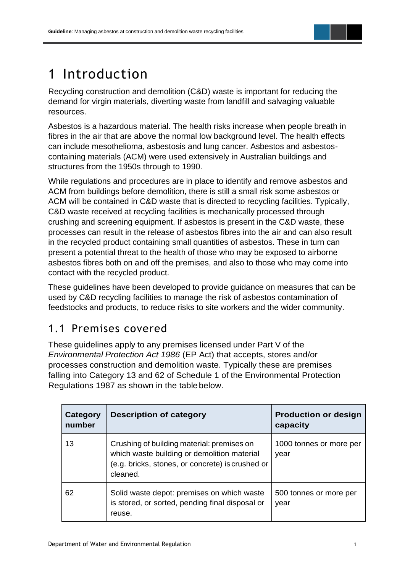

# <span id="page-3-0"></span>1 Introduction

Recycling construction and demolition (C&D) waste is important for reducing the demand for virgin materials, diverting waste from landfill and salvaging valuable resources.

Asbestos is a hazardous material. The health risks increase when people breath in fibres in the air that are above the normal low background level. The health effects can include mesothelioma, asbestosis and lung cancer. Asbestos and asbestoscontaining materials (ACM) were used extensively in Australian buildings and structures from the 1950s through to 1990.

While regulations and procedures are in place to identify and remove asbestos and ACM from buildings before demolition, there is still a small risk some asbestos or ACM will be contained in C&D waste that is directed to recycling facilities. Typically, C&D waste received at recycling facilities is mechanically processed through crushing and screening equipment. If asbestos is present in the C&D waste, these processes can result in the release of asbestos fibres into the air and can also result in the recycled product containing small quantities of asbestos. These in turn can present a potential threat to the health of those who may be exposed to airborne asbestos fibres both on and off the premises, and also to those who may come into contact with the recycled product.

These guidelines have been developed to provide guidance on measures that can be used by C&D recycling facilities to manage the risk of asbestos contamination of feedstocks and products, to reduce risks to site workers and the wider community.

# <span id="page-3-1"></span>1.1 Premises covered

These guidelines apply to any premises licensed under Part V of the *Environmental Protection Act 1986* (EP Act) that accepts, stores and/or processes construction and demolition waste. Typically these are premises falling into Category 13 and 62 of Schedule 1 of the Environmental Protection Regulations 1987 as shown in the tablebelow.

| Category<br>number | <b>Description of category</b>                                                                                                                            | <b>Production or design</b><br>capacity |
|--------------------|-----------------------------------------------------------------------------------------------------------------------------------------------------------|-----------------------------------------|
| 13                 | Crushing of building material: premises on<br>which waste building or demolition material<br>(e.g. bricks, stones, or concrete) is crushed or<br>cleaned. | 1000 tonnes or more per<br>year         |
| 62                 | Solid waste depot: premises on which waste<br>is stored, or sorted, pending final disposal or<br>reuse.                                                   | 500 tonnes or more per<br>year          |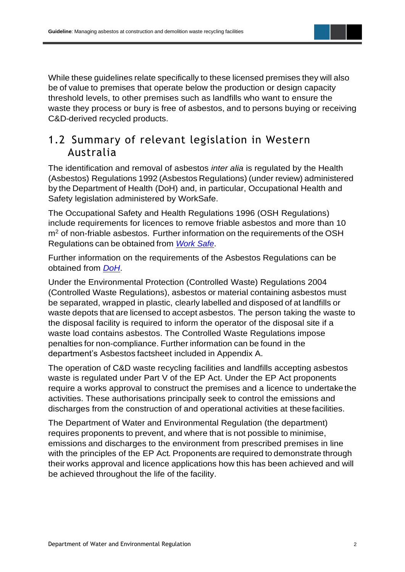While these guidelines relate specifically to these licensed premises they will also be of value to premises that operate below the production or design capacity threshold levels, to other premises such as landfills who want to ensure the waste they process or bury is free of asbestos, and to persons buying or receiving C&D-derived recycled products.

### <span id="page-4-0"></span>1.2 Summary of relevant legislation in Western Australia

The identification and removal of asbestos *inter alia* is regulated by the Health (Asbestos) Regulations 1992 (Asbestos Regulations) (under review) administered by the Department of Health (DoH) and, in particular, Occupational Health and Safety legislation administered by WorkSafe.

The Occupational Safety and Health Regulations 1996 (OSH Regulations) include requirements for licences to remove friable asbestos and more than 10 m<sup>2</sup> of non-friable asbestos. Further information on the requirements of the OSH Regulations can be obtained from *[Work Safe](http://www.commerce.wa.gov.au/worksafe/)*.

Further information on the requirements of the Asbestos Regulations can be obtained from *[DoH](https://ww2.health.wa.gov.au/)*.

Under the Environmental Protection (Controlled Waste) Regulations 2004 (Controlled Waste Regulations), asbestos or material containing asbestos must be separated, wrapped in plastic, clearly labelled and disposed of at landfills or waste depots that are licensed to accept asbestos. The person taking the waste to the disposal facility is required to inform the operator of the disposal site if a waste load contains asbestos. The Controlled Waste Regulations impose penalties for non-compliance. Further information can be found in the department's Asbestos factsheet included in Appendix A.

The operation of C&D waste recycling facilities and landfills accepting asbestos waste is regulated under Part V of the EP Act. Under the EP Act proponents require a works approval to construct the premises and a licence to undertake the activities. These authorisations principally seek to control the emissions and discharges from the construction of and operational activities at thesefacilities.

The Department of Water and Environmental Regulation (the department) requires proponents to prevent, and where that is not possible to minimise, emissions and discharges to the environment from prescribed premises in line with the principles of the EP Act*.* Proponents are required to demonstrate through their works approval and licence applications how this has been achieved and will be achieved throughout the life of the facility.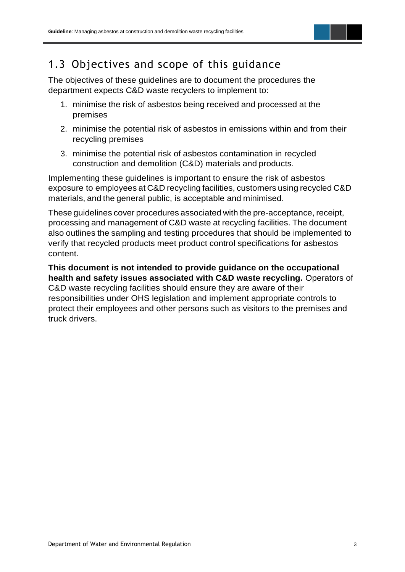

# <span id="page-5-0"></span>1.3 Objectives and scope of this guidance

The objectives of these guidelines are to document the procedures the department expects C&D waste recyclers to implement to:

- 1. minimise the risk of asbestos being received and processed at the premises
- 2. minimise the potential risk of asbestos in emissions within and from their recycling premises
- 3. minimise the potential risk of asbestos contamination in recycled construction and demolition (C&D) materials and products.

Implementing these guidelines is important to ensure the risk of asbestos exposure to employees at C&D recycling facilities, customers using recycled C&D materials, and the general public, is acceptable and minimised.

These guidelines cover procedures associated with the pre-acceptance, receipt, processing and management of C&D waste at recycling facilities. The document also outlines the sampling and testing procedures that should be implemented to verify that recycled products meet product control specifications for asbestos content.

**This document is not intended to provide guidance on the occupational health and safety issues associated with C&D waste recycling.** Operators of C&D waste recycling facilities should ensure they are aware of their responsibilities under OHS legislation and implement appropriate controls to protect their employees and other persons such as visitors to the premises and truck drivers.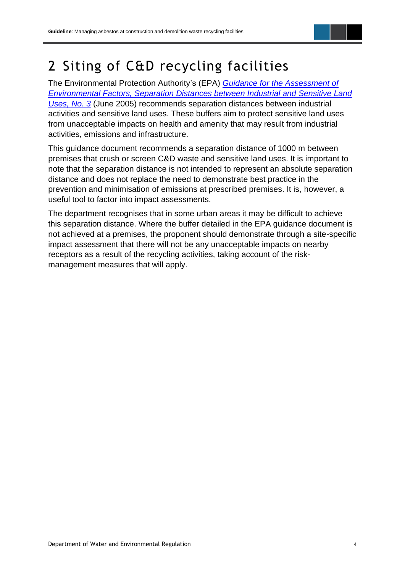

# <span id="page-6-0"></span>2 Siting of C&D recycling facilities

The Environmental Protection Authority's (EPA) *[Guidance for the Assessment of](https://www.epa.wa.gov.au/sites/default/files/Policies_and_Guidance/GS3-Separation-distances-270605.pdf)  [Environmental Factors, Separation Distances between Industrial and Sensitive Land](https://www.epa.wa.gov.au/sites/default/files/Policies_and_Guidance/GS3-Separation-distances-270605.pdf)  [Uses, No. 3](https://www.epa.wa.gov.au/sites/default/files/Policies_and_Guidance/GS3-Separation-distances-270605.pdf)* (June 2005) recommends separation distances between industrial activities and sensitive land uses. These buffers aim to protect sensitive land uses from unacceptable impacts on health and amenity that may result from industrial activities, emissions and infrastructure.

This guidance document recommends a separation distance of 1000 m between premises that crush or screen C&D waste and sensitive land uses. It is important to note that the separation distance is not intended to represent an absolute separation distance and does not replace the need to demonstrate best practice in the prevention and minimisation of emissions at prescribed premises. It is, however, a useful tool to factor into impact assessments.

The department recognises that in some urban areas it may be difficult to achieve this separation distance. Where the buffer detailed in the EPA guidance document is not achieved at a premises, the proponent should demonstrate through a site-specific impact assessment that there will not be any unacceptable impacts on nearby receptors as a result of the recycling activities, taking account of the riskmanagement measures that will apply.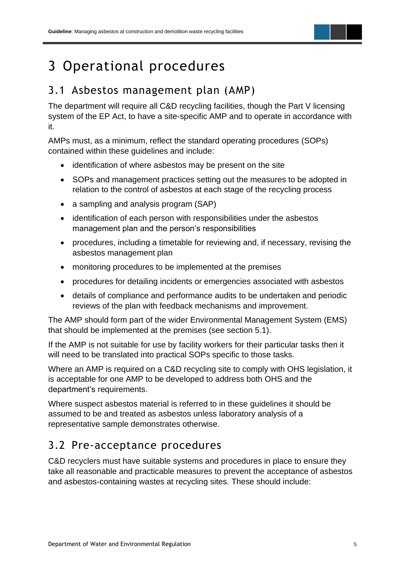# <span id="page-7-0"></span>3 Operational procedures

## <span id="page-7-1"></span>3.1 Asbestos management plan (AMP)

The department will require all C&D recycling facilities, though the Part V licensing system of the EP Act, to have a site-specific AMP and to operate in accordance with it.

AMPs must, as a minimum, reflect the standard operating procedures (SOPs) contained within these guidelines and include:

- identification of where asbestos may be present on the site
- SOPs and management practices setting out the measures to be adopted in relation to the control of asbestos at each stage of the recycling process
- a sampling and analysis program (SAP)
- identification of each person with responsibilities under the asbestos management plan and the person's responsibilities
- procedures, including a timetable for reviewing and, if necessary, revising the asbestos management plan
- monitoring procedures to be implemented at the premises
- procedures for detailing incidents or emergencies associated with asbestos
- details of compliance and performance audits to be undertaken and periodic reviews of the plan with feedback mechanisms and improvement.

The AMP should form part of the wider Environmental Management System (EMS) that should be implemented at the premises (see section 5.1).

If the AMP is not suitable for use by facility workers for their particular tasks then it will need to be translated into practical SOPs specific to those tasks.

Where an AMP is required on a C&D recycling site to comply with OHS legislation, it is acceptable for one AMP to be developed to address both OHS and the department's requirements.

Where suspect asbestos material is referred to in these guidelines it should be assumed to be and treated as asbestos unless laboratory analysis of a representative sample demonstrates otherwise.

# <span id="page-7-2"></span>3.2 Pre-acceptance procedures

C&D recyclers must have suitable systems and procedures in place to ensure they take all reasonable and practicable measures to prevent the acceptance of asbestos and asbestos-containing wastes at recycling sites. These should include: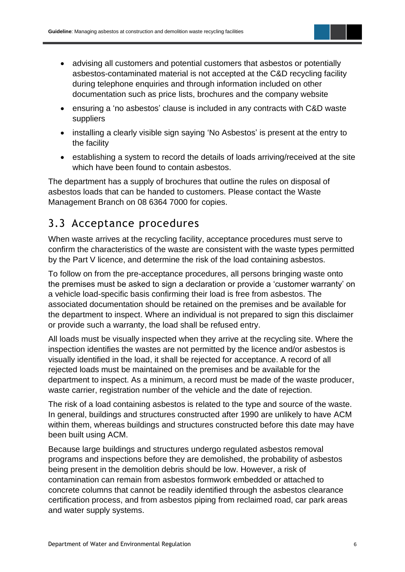- advising all customers and potential customers that asbestos or potentially asbestos-contaminated material is not accepted at the C&D recycling facility during telephone enquiries and through information included on other documentation such as price lists, brochures and the company website
- ensuring a 'no asbestos' clause is included in any contracts with C&D waste suppliers
- installing a clearly visible sign saying 'No Asbestos' is present at the entry to the facility
- establishing a system to record the details of loads arriving/received at the site which have been found to contain asbestos.

The department has a supply of brochures that outline the rules on disposal of asbestos loads that can be handed to customers. Please contact the Waste Management Branch on 08 6364 7000 for copies.

# <span id="page-8-0"></span>3.3 Acceptance procedures

When waste arrives at the recycling facility, acceptance procedures must serve to confirm the characteristics of the waste are consistent with the waste types permitted by the Part V licence, and determine the risk of the load containing asbestos.

To follow on from the pre-acceptance procedures, all persons bringing waste onto the premises must be asked to sign a declaration or provide a 'customer warranty' on a vehicle load-specific basis confirming their load is free from asbestos. The associated documentation should be retained on the premises and be available for the department to inspect. Where an individual is not prepared to sign this disclaimer or provide such a warranty, the load shall be refused entry.

All loads must be visually inspected when they arrive at the recycling site. Where the inspection identifies the wastes are not permitted by the licence and/or asbestos is visually identified in the load, it shall be rejected for acceptance. A record of all rejected loads must be maintained on the premises and be available for the department to inspect. As a minimum, a record must be made of the waste producer, waste carrier, registration number of the vehicle and the date of rejection.

The risk of a load containing asbestos is related to the type and source of the waste. In general, buildings and structures constructed after 1990 are unlikely to have ACM within them, whereas buildings and structures constructed before this date may have been built using ACM.

Because large buildings and structures undergo regulated asbestos removal programs and inspections before they are demolished, the probability of asbestos being present in the demolition debris should be low. However, a risk of contamination can remain from asbestos formwork embedded or attached to concrete columns that cannot be readily identified through the asbestos clearance certification process, and from asbestos piping from reclaimed road, car park areas and water supply systems.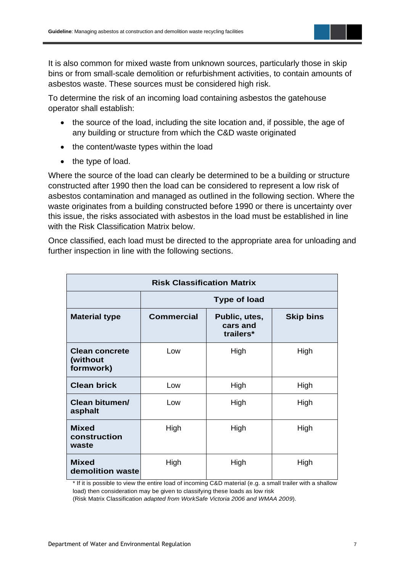It is also common for mixed waste from unknown sources, particularly those in skip bins or from small-scale demolition or refurbishment activities, to contain amounts of asbestos waste. These sources must be considered high risk.

To determine the risk of an incoming load containing asbestos the gatehouse operator shall establish:

- the source of the load, including the site location and, if possible, the age of any building or structure from which the C&D waste originated
- the content/waste types within the load
- the type of load.

Where the source of the load can clearly be determined to be a building or structure constructed after 1990 then the load can be considered to represent a low risk of asbestos contamination and managed as outlined in the following section. Where the waste originates from a building constructed before 1990 or there is uncertainty over this issue, the risks associated with asbestos in the load must be established in line with the Risk Classification Matrix below.

Once classified, each load must be directed to the appropriate area for unloading and further inspection in line with the following sections.

| <b>Risk Classification Matrix</b>              |                     |                                        |                  |  |  |  |  |
|------------------------------------------------|---------------------|----------------------------------------|------------------|--|--|--|--|
|                                                | <b>Type of load</b> |                                        |                  |  |  |  |  |
| <b>Material type</b>                           | <b>Commercial</b>   | Public, utes,<br>cars and<br>trailers* | <b>Skip bins</b> |  |  |  |  |
| <b>Clean concrete</b><br>(without<br>formwork) | Low                 | High                                   | High             |  |  |  |  |
| <b>Clean brick</b>                             | Low                 | High                                   | High             |  |  |  |  |
| Clean bitumen/<br>asphalt                      | Low                 | High                                   | High             |  |  |  |  |
| <b>Mixed</b><br>construction<br>waste          | High                | High                                   | High             |  |  |  |  |
| <b>Mixed</b><br>demolition waste               | High                | High                                   | High             |  |  |  |  |

\* If it is possible to view the entire load of incoming C&D material (e.g. a small trailer with a shallow load) then consideration may be given to classifying these loads as low risk

(Risk Matrix Classification *adapted from WorkSafe Victoria 2006 and WMAA 2009*).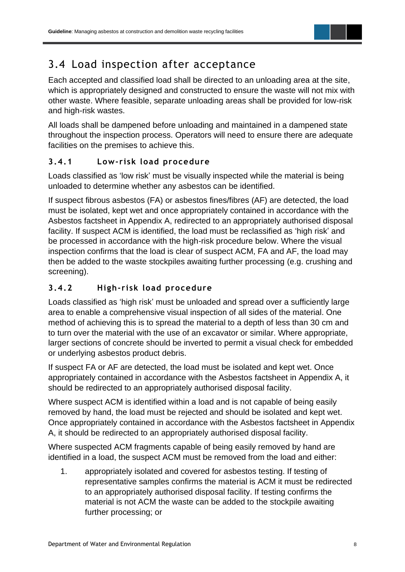

# <span id="page-10-0"></span>3.4 Load inspection after acceptance

Each accepted and classified load shall be directed to an unloading area at the site, which is appropriately designed and constructed to ensure the waste will not mix with other waste. Where feasible, separate unloading areas shall be provided for low-risk and high-risk wastes.

All loads shall be dampened before unloading and maintained in a dampened state throughout the inspection process. Operators will need to ensure there are adequate facilities on the premises to achieve this.

#### **3.4.1 Low- risk load procedure**

Loads classified as 'low risk' must be visually inspected while the material is being unloaded to determine whether any asbestos can be identified.

If suspect fibrous asbestos (FA) or asbestos fines/fibres (AF) are detected, the load must be isolated, kept wet and once appropriately contained in accordance with the Asbestos factsheet in Appendix A, redirected to an appropriately authorised disposal facility. If suspect ACM is identified, the load must be reclassified as 'high risk' and be processed in accordance with the high-risk procedure below. Where the visual inspection confirms that the load is clear of suspect ACM, FA and AF, the load may then be added to the waste stockpiles awaiting further processing (e.g. crushing and screening).

### **3.4.2 High- risk load procedure**

Loads classified as 'high risk' must be unloaded and spread over a sufficiently large area to enable a comprehensive visual inspection of all sides of the material. One method of achieving this is to spread the material to a depth of less than 30 cm and to turn over the material with the use of an excavator or similar. Where appropriate, larger sections of concrete should be inverted to permit a visual check for embedded or underlying asbestos product debris.

If suspect FA or AF are detected, the load must be isolated and kept wet. Once appropriately contained in accordance with the Asbestos factsheet in Appendix A, it should be redirected to an appropriately authorised disposal facility.

Where suspect ACM is identified within a load and is not capable of being easily removed by hand, the load must be rejected and should be isolated and kept wet. Once appropriately contained in accordance with the Asbestos factsheet in Appendix A, it should be redirected to an appropriately authorised disposal facility.

Where suspected ACM fragments capable of being easily removed by hand are identified in a load, the suspect ACM must be removed from the load and either:

1. appropriately isolated and covered for asbestos testing. If testing of representative samples confirms the material is ACM it must be redirected to an appropriately authorised disposal facility. If testing confirms the material is not ACM the waste can be added to the stockpile awaiting further processing; or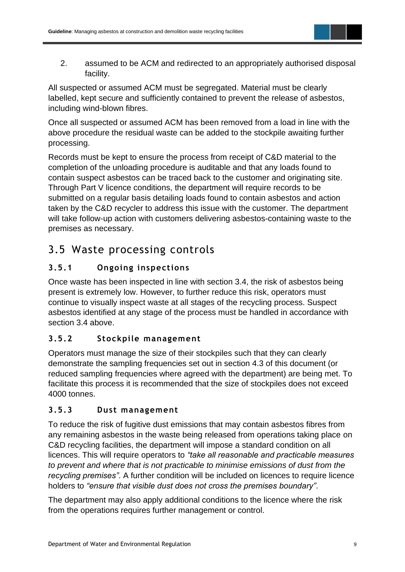

2. assumed to be ACM and redirected to an appropriately authorised disposal facility.

All suspected or assumed ACM must be segregated. Material must be clearly labelled, kept secure and sufficiently contained to prevent the release of asbestos, including wind-blown fibres.

Once all suspected or assumed ACM has been removed from a load in line with the above procedure the residual waste can be added to the stockpile awaiting further processing.

Records must be kept to ensure the process from receipt of C&D material to the completion of the unloading procedure is auditable and that any loads found to contain suspect asbestos can be traced back to the customer and originating site. Through Part V licence conditions, the department will require records to be submitted on a regular basis detailing loads found to contain asbestos and action taken by the C&D recycler to address this issue with the customer. The department will take follow-up action with customers delivering asbestos-containing waste to the premises as necessary.

### <span id="page-11-0"></span>3.5 Waste processing controls

### **3.5.1 Ongoing inspections**

Once waste has been inspected in line with section 3.4, the risk of asbestos being present is extremely low. However, to further reduce this risk, operators must continue to visually inspect waste at all stages of the recycling process. Suspect asbestos identified at any stage of the process must be handled in accordance with section 3.4 above.

### **3.5.2 Stockpile management**

Operators must manage the size of their stockpiles such that they can clearly demonstrate the sampling frequencies set out in section 4.3 of this document (or reduced sampling frequencies where agreed with the department) are being met. To facilitate this process it is recommended that the size of stockpiles does not exceed 4000 tonnes.

### **3.5.3 Dust management**

To reduce the risk of fugitive dust emissions that may contain asbestos fibres from any remaining asbestos in the waste being released from operations taking place on C&D recycling facilities, the department will impose a standard condition on all licences. This will require operators to *"take all reasonable and practicable measures to prevent and where that is not practicable to minimise emissions of dust from the recycling premises"*. A further condition will be included on licences to require licence holders to *"ensure that visible dust does not cross the premises boundary"*.

The department may also apply additional conditions to the licence where the risk from the operations requires further management or control.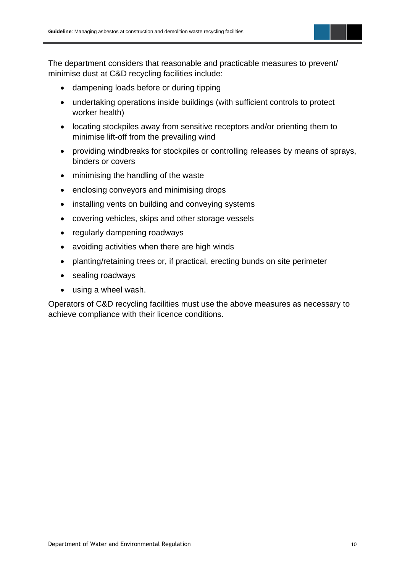The department considers that reasonable and practicable measures to prevent/ minimise dust at C&D recycling facilities include:

- dampening loads before or during tipping
- undertaking operations inside buildings (with sufficient controls to protect worker health)
- locating stockpiles away from sensitive receptors and/or orienting them to minimise lift-off from the prevailing wind
- providing windbreaks for stockpiles or controlling releases by means of sprays, binders or covers
- minimising the handling of the waste
- enclosing conveyors and minimising drops
- installing vents on building and conveying systems
- covering vehicles, skips and other storage vessels
- regularly dampening roadways
- avoiding activities when there are high winds
- planting/retaining trees or, if practical, erecting bunds on site perimeter
- sealing roadways
- using a wheel wash.

Operators of C&D recycling facilities must use the above measures as necessary to achieve compliance with their licence conditions.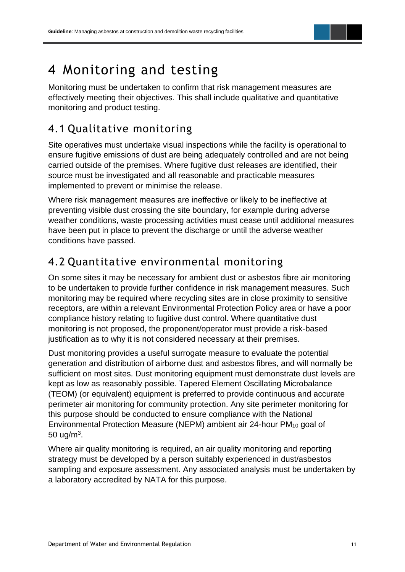

# <span id="page-13-0"></span>4 Monitoring and testing

Monitoring must be undertaken to confirm that risk management measures are effectively meeting their objectives. This shall include qualitative and quantitative monitoring and product testing.

### <span id="page-13-1"></span>4.1 Qualitative monitoring

Site operatives must undertake visual inspections while the facility is operational to ensure fugitive emissions of dust are being adequately controlled and are not being carried outside of the premises. Where fugitive dust releases are identified, their source must be investigated and all reasonable and practicable measures implemented to prevent or minimise the release.

Where risk management measures are ineffective or likely to be ineffective at preventing visible dust crossing the site boundary, for example during adverse weather conditions, waste processing activities must cease until additional measures have been put in place to prevent the discharge or until the adverse weather conditions have passed.

# <span id="page-13-2"></span>4.2 Quantitative environmental monitoring

On some sites it may be necessary for ambient dust or asbestos fibre air monitoring to be undertaken to provide further confidence in risk management measures. Such monitoring may be required where recycling sites are in close proximity to sensitive receptors, are within a relevant Environmental Protection Policy area or have a poor compliance history relating to fugitive dust control. Where quantitative dust monitoring is not proposed, the proponent/operator must provide a risk-based justification as to why it is not considered necessary at their premises.

Dust monitoring provides a useful surrogate measure to evaluate the potential generation and distribution of airborne dust and asbestos fibres, and will normally be sufficient on most sites. Dust monitoring equipment must demonstrate dust levels are kept as low as reasonably possible. Tapered Element Oscillating Microbalance (TEOM) (or equivalent) equipment is preferred to provide continuous and accurate perimeter air monitoring for community protection. Any site perimeter monitoring for this purpose should be conducted to ensure compliance with the National Environmental Protection Measure (NEPM) ambient air 24-hour PM<sup>10</sup> goal of  $50 \text{ ug/m}^3$ .

Where air quality monitoring is required, an air quality monitoring and reporting strategy must be developed by a person suitably experienced in dust/asbestos sampling and exposure assessment. Any associated analysis must be undertaken by a laboratory accredited by NATA for this purpose.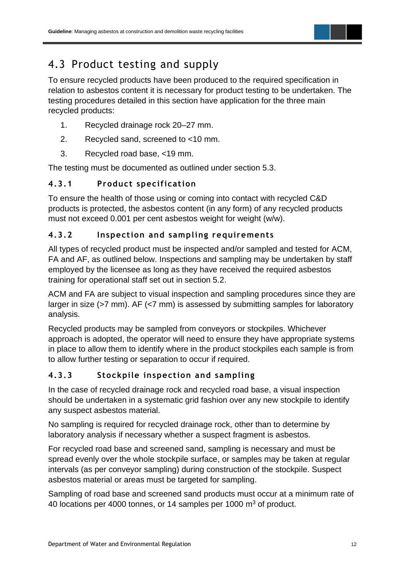

# <span id="page-14-0"></span>4.3 Product testing and supply

To ensure recycled products have been produced to the required specification in relation to asbestos content it is necessary for product testing to be undertaken. The testing procedures detailed in this section have application for the three main recycled products:

- 1. Recycled drainage rock 20–27 mm.
- 2. Recycled sand, screened to <10 mm.
- 3. Recycled road base, <19 mm.

The testing must be documented as outlined under section 5.3.

#### **4.3.1 Product specification**

To ensure the health of those using or coming into contact with recycled C&D products is protected, the asbestos content (in any form) of any recycled products must not exceed 0.001 per cent asbestos weight for weight (w/w).

#### **4.3.2 Inspection and sampling requirements**

All types of recycled product must be inspected and/or sampled and tested for ACM, FA and AF, as outlined below. Inspections and sampling may be undertaken by staff employed by the licensee as long as they have received the required asbestos training for operational staff set out in section 5.2.

ACM and FA are subject to visual inspection and sampling procedures since they are larger in size (>7 mm). AF (<7 mm) is assessed by submitting samples for laboratory analysis.

Recycled products may be sampled from conveyors or stockpiles. Whichever approach is adopted, the operator will need to ensure they have appropriate systems in place to allow them to identify where in the product stockpiles each sample is from to allow further testing or separation to occur if required.

### **4.3.3 Stockpile inspection and sampling**

In the case of recycled drainage rock and recycled road base, a visual inspection should be undertaken in a systematic grid fashion over any new stockpile to identify any suspect asbestos material.

No sampling is required for recycled drainage rock, other than to determine by laboratory analysis if necessary whether a suspect fragment is asbestos.

For recycled road base and screened sand, sampling is necessary and must be spread evenly over the whole stockpile surface, or samples may be taken at regular intervals (as per conveyor sampling) during construction of the stockpile. Suspect asbestos material or areas must be targeted for sampling.

Sampling of road base and screened sand products must occur at a minimum rate of 40 locations per 4000 tonnes, or 14 samples per 1000 m<sup>3</sup> of product.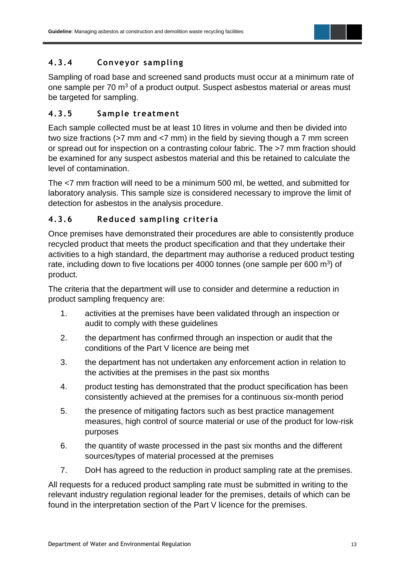### **4.3.4 Conveyor sampling**

Sampling of road base and screened sand products must occur at a minimum rate of one sample per 70 m<sup>3</sup> of a product output. Suspect asbestos material or areas must be targeted for sampling.

#### **4.3.5 Sample treatment**

Each sample collected must be at least 10 litres in volume and then be divided into two size fractions (>7 mm and <7 mm) in the field by sieving though a 7 mm screen or spread out for inspection on a contrasting colour fabric. The >7 mm fraction should be examined for any suspect asbestos material and this be retained to calculate the level of contamination.

The <7 mm fraction will need to be a minimum 500 ml, be wetted, and submitted for laboratory analysis. This sample size is considered necessary to improve the limit of detection for asbestos in the analysis procedure.

#### **4.3.6 Reduced sampling cr iteria**

Once premises have demonstrated their procedures are able to consistently produce recycled product that meets the product specification and that they undertake their activities to a high standard, the department may authorise a reduced product testing rate, including down to five locations per 4000 tonnes (one sample per 600  $m^3$ ) of product.

The criteria that the department will use to consider and determine a reduction in product sampling frequency are:

- 1. activities at the premises have been validated through an inspection or audit to comply with these guidelines
- 2. the department has confirmed through an inspection or audit that the conditions of the Part V licence are being met
- 3. the department has not undertaken any enforcement action in relation to the activities at the premises in the past six months
- 4. product testing has demonstrated that the product specification has been consistently achieved at the premises for a continuous six-month period
- 5. the presence of mitigating factors such as best practice management measures, high control of source material or use of the product for low-risk purposes
- 6. the quantity of waste processed in the past six months and the different sources/types of material processed at the premises
- 7. DoH has agreed to the reduction in product sampling rate at the premises.

All requests for a reduced product sampling rate must be submitted in writing to the relevant industry regulation regional leader for the premises, details of which can be found in the interpretation section of the Part V licence for the premises.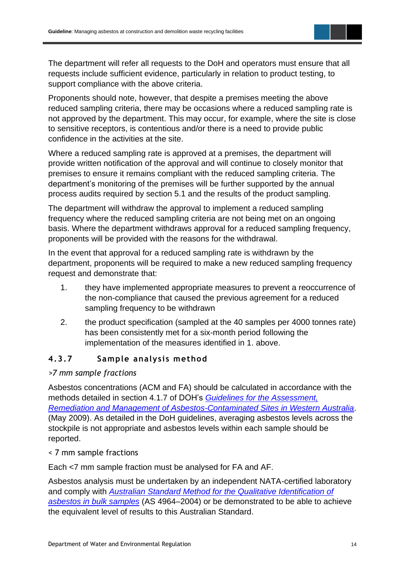The department will refer all requests to the DoH and operators must ensure that all requests include sufficient evidence, particularly in relation to product testing, to support compliance with the above criteria.

Proponents should note, however, that despite a premises meeting the above reduced sampling criteria, there may be occasions where a reduced sampling rate is not approved by the department. This may occur, for example, where the site is close to sensitive receptors, is contentious and/or there is a need to provide public confidence in the activities at the site.

Where a reduced sampling rate is approved at a premises, the department will provide written notification of the approval and will continue to closely monitor that premises to ensure it remains compliant with the reduced sampling criteria. The department's monitoring of the premises will be further supported by the annual process audits required by section 5.1 and the results of the product sampling.

The department will withdraw the approval to implement a reduced sampling frequency where the reduced sampling criteria are not being met on an ongoing basis. Where the department withdraws approval for a reduced sampling frequency, proponents will be provided with the reasons for the withdrawal.

In the event that approval for a reduced sampling rate is withdrawn by the department, proponents will be required to make a new reduced sampling frequency request and demonstrate that:

- 1. they have implemented appropriate measures to prevent a reoccurrence of the non-compliance that caused the previous agreement for a reduced sampling frequency to be withdrawn
- 2. the product specification (sampled at the 40 samples per 4000 tonnes rate) has been consistently met for a six-month period following the implementation of the measures identified in 1. above.

### **4.3.7 Sample analysis method**

#### *>7 mm sample fractions*

Asbestos concentrations (ACM and FA) should be calculated in accordance with the methods detailed in section 4.1.7 of DOH's *[Guidelines for the Assessment,](https://ww2.health.wa.gov.au/-/media/Files/Corporate/general-documents/Asbestos/PDF/Guidelines-Asbestos-Contaminated-Sites-May2009.pdf)  [Remediation and Management of Asbestos-Contaminated Sites in Western Australia](https://ww2.health.wa.gov.au/-/media/Files/Corporate/general-documents/Asbestos/PDF/Guidelines-Asbestos-Contaminated-Sites-May2009.pdf)*. (May 2009). As detailed in the DoH guidelines, averaging asbestos levels across the stockpile is not appropriate and asbestos levels within each sample should be reported.

#### < 7 mm sample fractions

Each <7 mm sample fraction must be analysed for FA and AF.

Asbestos analysis must be undertaken by an independent NATA-certified laboratory and comply with *Australian [Standard Method for the Qualitative Identification of](https://www.saiglobal.com/pdftemp/previews/osh/as/as4000/4900/4964.pdf)  [asbestos in bulk samples](https://www.saiglobal.com/pdftemp/previews/osh/as/as4000/4900/4964.pdf)* (AS 4964–2004) or be demonstrated to be able to achieve the equivalent level of results to this Australian Standard.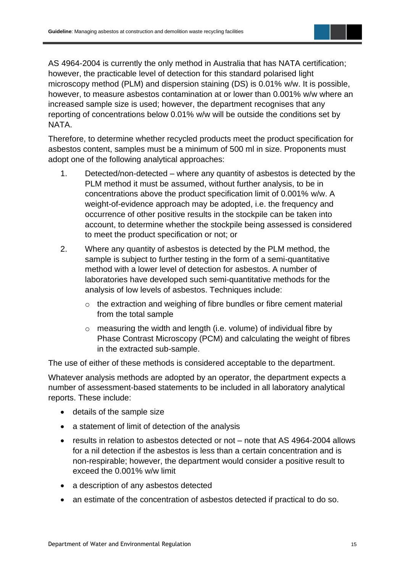AS 4964-2004 is currently the only method in Australia that has NATA certification; however, the practicable level of detection for this standard polarised light microscopy method (PLM) and dispersion staining (DS) is 0.01% w/w. It is possible, however, to measure asbestos contamination at or lower than 0.001% w/w where an increased sample size is used; however, the department recognises that any reporting of concentrations below 0.01% w/w will be outside the conditions set by **NATA** 

Therefore, to determine whether recycled products meet the product specification for asbestos content, samples must be a minimum of 500 ml in size. Proponents must adopt one of the following analytical approaches:

- 1. Detected/non-detected where any quantity of asbestos is detected by the PLM method it must be assumed, without further analysis, to be in concentrations above the product specification limit of 0.001% w/w. A weight-of-evidence approach may be adopted, i.e. the frequency and occurrence of other positive results in the stockpile can be taken into account, to determine whether the stockpile being assessed is considered to meet the product specification or not; or
- 2. Where any quantity of asbestos is detected by the PLM method, the sample is subject to further testing in the form of a semi-quantitative method with a lower level of detection for asbestos. A number of laboratories have developed such semi-quantitative methods for the analysis of low levels of asbestos. Techniques include:
	- o the extraction and weighing of fibre bundles or fibre cement material from the total sample
	- $\circ$  measuring the width and length (i.e. volume) of individual fibre by Phase Contrast Microscopy (PCM) and calculating the weight of fibres in the extracted sub-sample.

The use of either of these methods is considered acceptable to the department.

Whatever analysis methods are adopted by an operator, the department expects a number of assessment-based statements to be included in all laboratory analytical reports. These include:

- details of the sample size
- a statement of limit of detection of the analysis
- results in relation to asbestos detected or not note that AS 4964-2004 allows for a nil detection if the asbestos is less than a certain concentration and is non-respirable; however, the department would consider a positive result to exceed the 0.001% w/w limit
- a description of any asbestos detected
- an estimate of the concentration of asbestos detected if practical to do so.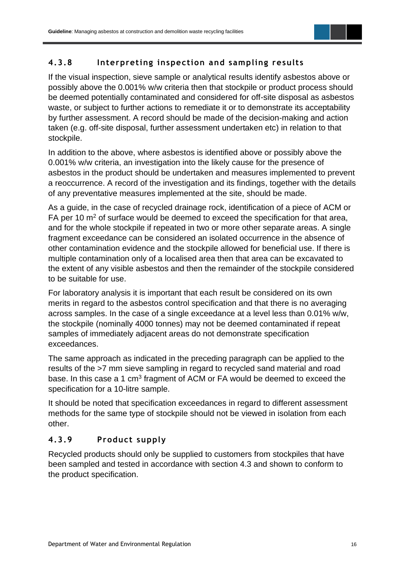

#### **4.3.8 Interpreting inspection and sampling results**

If the visual inspection, sieve sample or analytical results identify asbestos above or possibly above the 0.001% w/w criteria then that stockpile or product process should be deemed potentially contaminated and considered for off-site disposal as asbestos waste, or subject to further actions to remediate it or to demonstrate its acceptability by further assessment. A record should be made of the decision-making and action taken (e.g. off-site disposal, further assessment undertaken etc) in relation to that stockpile.

In addition to the above, where asbestos is identified above or possibly above the 0.001% w/w criteria, an investigation into the likely cause for the presence of asbestos in the product should be undertaken and measures implemented to prevent a reoccurrence. A record of the investigation and its findings, together with the details of any preventative measures implemented at the site, should be made.

As a guide, in the case of recycled drainage rock, identification of a piece of ACM or FA per 10  $\mathrm{m}^2$  of surface would be deemed to exceed the specification for that area, and for the whole stockpile if repeated in two or more other separate areas. A single fragment exceedance can be considered an isolated occurrence in the absence of other contamination evidence and the stockpile allowed for beneficial use. If there is multiple contamination only of a localised area then that area can be excavated to the extent of any visible asbestos and then the remainder of the stockpile considered to be suitable for use.

For laboratory analysis it is important that each result be considered on its own merits in regard to the asbestos control specification and that there is no averaging across samples. In the case of a single exceedance at a level less than 0.01% w/w, the stockpile (nominally 4000 tonnes) may not be deemed contaminated if repeat samples of immediately adjacent areas do not demonstrate specification exceedances.

The same approach as indicated in the preceding paragraph can be applied to the results of the >7 mm sieve sampling in regard to recycled sand material and road base. In this case a 1 cm<sup>3</sup> fragment of ACM or FA would be deemed to exceed the specification for a 10-litre sample.

It should be noted that specification exceedances in regard to different assessment methods for the same type of stockpile should not be viewed in isolation from each other.

#### **4.3.9 Product supply**

Recycled products should only be supplied to customers from stockpiles that have been sampled and tested in accordance with section 4.3 and shown to conform to the product specification.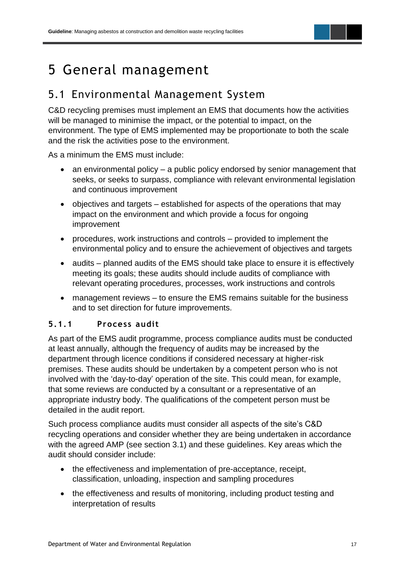# <span id="page-19-0"></span>5 General management

### <span id="page-19-1"></span>5.1 Environmental Management System

C&D recycling premises must implement an EMS that documents how the activities will be managed to minimise the impact, or the potential to impact, on the environment. The type of EMS implemented may be proportionate to both the scale and the risk the activities pose to the environment.

As a minimum the EMS must include:

- an environmental policy a public policy endorsed by senior management that seeks, or seeks to surpass, compliance with relevant environmental legislation and continuous improvement
- objectives and targets established for aspects of the operations that may impact on the environment and which provide a focus for ongoing improvement
- procedures, work instructions and controls provided to implement the environmental policy and to ensure the achievement of objectives and targets
- audits planned audits of the EMS should take place to ensure it is effectively meeting its goals; these audits should include audits of compliance with relevant operating procedures, processes, work instructions and controls
- management reviews to ensure the EMS remains suitable for the business and to set direction for future improvements.

#### **5.1.1 Process audit**

As part of the EMS audit programme, process compliance audits must be conducted at least annually, although the frequency of audits may be increased by the department through licence conditions if considered necessary at higher-risk premises. These audits should be undertaken by a competent person who is not involved with the 'day-to-day' operation of the site. This could mean, for example, that some reviews are conducted by a consultant or a representative of an appropriate industry body. The qualifications of the competent person must be detailed in the audit report.

Such process compliance audits must consider all aspects of the site's C&D recycling operations and consider whether they are being undertaken in accordance with the agreed AMP (see section 3.1) and these guidelines. Key areas which the audit should consider include:

- the effectiveness and implementation of pre-acceptance, receipt, classification, unloading, inspection and sampling procedures
- the effectiveness and results of monitoring, including product testing and interpretation of results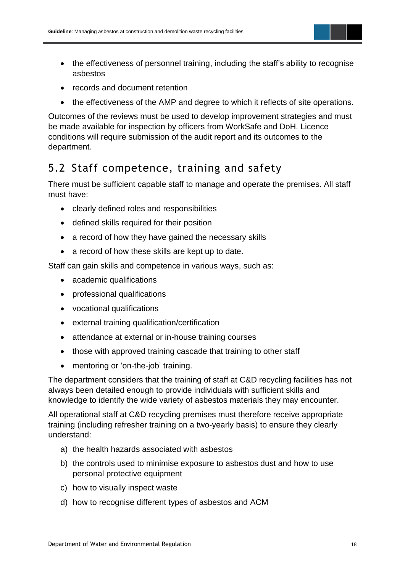

- the effectiveness of personnel training, including the staff's ability to recognise asbestos
- records and document retention
- the effectiveness of the AMP and degree to which it reflects of site operations.

Outcomes of the reviews must be used to develop improvement strategies and must be made available for inspection by officers from WorkSafe and DoH. Licence conditions will require submission of the audit report and its outcomes to the department.

### <span id="page-20-0"></span>5.2 Staff competence, training and safety

There must be sufficient capable staff to manage and operate the premises. All staff must have:

- clearly defined roles and responsibilities
- defined skills required for their position
- a record of how they have gained the necessary skills
- a record of how these skills are kept up to date.

Staff can gain skills and competence in various ways, such as:

- academic qualifications
- professional qualifications
- vocational qualifications
- external training qualification/certification
- attendance at external or in-house training courses
- those with approved training cascade that training to other staff
- mentoring or 'on-the-job' training.

The department considers that the training of staff at C&D recycling facilities has not always been detailed enough to provide individuals with sufficient skills and knowledge to identify the wide variety of asbestos materials they may encounter.

All operational staff at C&D recycling premises must therefore receive appropriate training (including refresher training on a two-yearly basis) to ensure they clearly understand:

- a) the health hazards associated with asbestos
- b) the controls used to minimise exposure to asbestos dust and how to use personal protective equipment
- c) how to visually inspect waste
- d) how to recognise different types of asbestos and ACM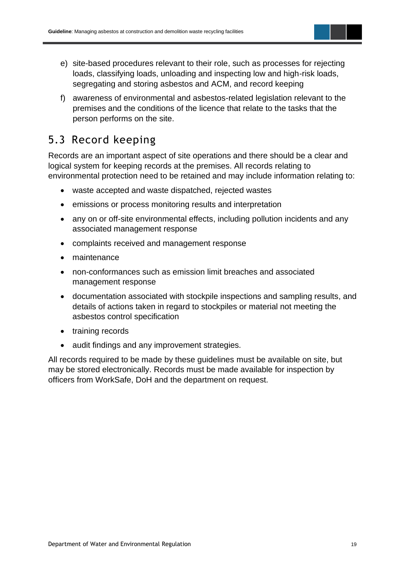- e) site-based procedures relevant to their role, such as processes for rejecting loads, classifying loads, unloading and inspecting low and high-risk loads, segregating and storing asbestos and ACM, and record keeping
- f) awareness of environmental and asbestos-related legislation relevant to the premises and the conditions of the licence that relate to the tasks that the person performs on the site.

### <span id="page-21-0"></span>5.3 Record keeping

Records are an important aspect of site operations and there should be a clear and logical system for keeping records at the premises. All records relating to environmental protection need to be retained and may include information relating to:

- waste accepted and waste dispatched, rejected wastes
- emissions or process monitoring results and interpretation
- any on or off-site environmental effects, including pollution incidents and any associated management response
- complaints received and management response
- maintenance
- non-conformances such as emission limit breaches and associated management response
- documentation associated with stockpile inspections and sampling results, and details of actions taken in regard to stockpiles or material not meeting the asbestos control specification
- training records
- audit findings and any improvement strategies.

All records required to be made by these guidelines must be available on site, but may be stored electronically. Records must be made available for inspection by officers from WorkSafe, DoH and the department on request.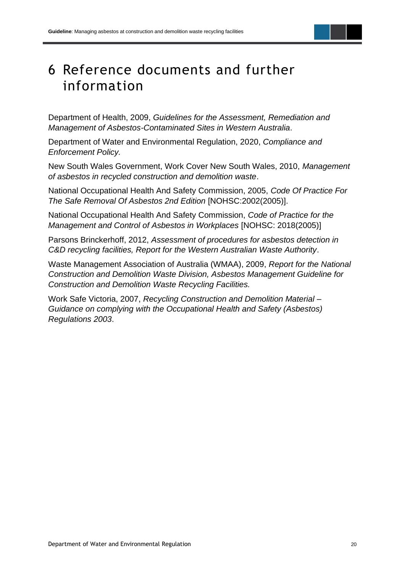# <span id="page-22-0"></span>6 Reference documents and further information

Department of Health, 2009, *Guidelines for the Assessment, Remediation and Management of Asbestos-Contaminated Sites in Western Australia*.

Department of Water and Environmental Regulation, 2020, *Compliance and Enforcement Policy.*

New South Wales Government, Work Cover New South Wales, 2010, *Management of asbestos in recycled construction and demolition waste*.

National Occupational Health And Safety Commission, 2005, *Code Of Practice For The Safe Removal Of Asbestos 2nd Edition* [NOHSC:2002(2005)].

National Occupational Health And Safety Commission, *Code of Practice for the Management and Control of Asbestos in Workplaces* [NOHSC: 2018(2005)]

Parsons Brinckerhoff, 2012, *Assessment of procedures for asbestos detection in C&D recycling facilities, Report for the Western Australian Waste Authority*.

Waste Management Association of Australia (WMAA), 2009, *Report for the National Construction and Demolition Waste Division, Asbestos Management Guideline for Construction and Demolition Waste Recycling Facilities.*

Work Safe Victoria, 2007, *Recycling Construction and Demolition Material – Guidance on complying with the Occupational Health and Safety (Asbestos) Regulations 2003*.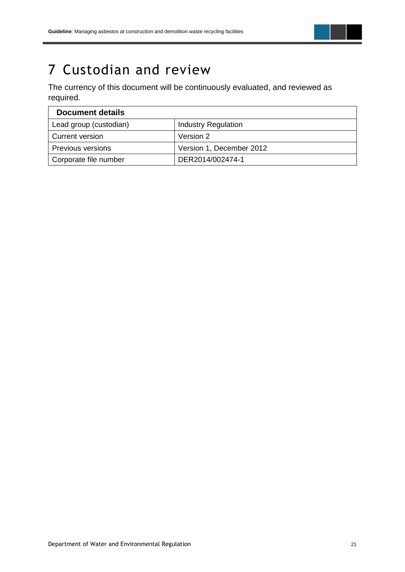

# <span id="page-23-0"></span>7 Custodian and review

The currency of this document will be continuously evaluated, and reviewed as required.

| <b>Document details</b>  |                            |  |  |  |  |
|--------------------------|----------------------------|--|--|--|--|
| Lead group (custodian)   | <b>Industry Regulation</b> |  |  |  |  |
| Current version          | Version 2                  |  |  |  |  |
| <b>Previous versions</b> | Version 1, December 2012   |  |  |  |  |
| Corporate file number    | DER2014/002474-1           |  |  |  |  |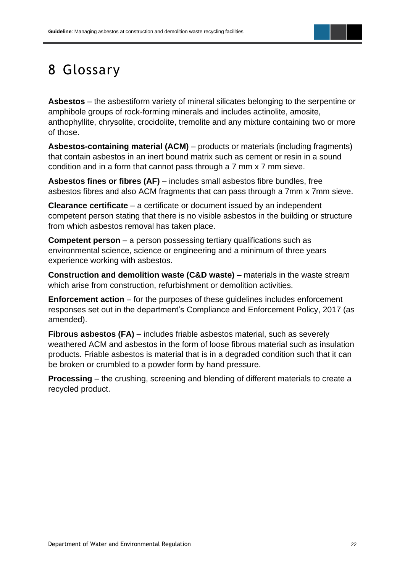

# <span id="page-24-0"></span>8 Glossary

**Asbestos** – the asbestiform variety of mineral silicates belonging to the serpentine or amphibole groups of rock-forming minerals and includes actinolite, amosite, anthophyllite, chrysolite, crocidolite, tremolite and any mixture containing two or more of those.

**Asbestos-containing material (ACM)** – products or materials (including fragments) that contain asbestos in an inert bound matrix such as cement or resin in a sound condition and in a form that cannot pass through a 7 mm x 7 mm sieve.

**Asbestos fines or fibres (AF)** – includes small asbestos fibre bundles, free asbestos fibres and also ACM fragments that can pass through a 7mm x 7mm sieve.

**Clearance certificate** – a certificate or document issued by an independent competent person stating that there is no visible asbestos in the building or structure from which asbestos removal has taken place.

**Competent person** – a person possessing tertiary qualifications such as environmental science, science or engineering and a minimum of three years experience working with asbestos.

**Construction and demolition waste (C&D waste)** – materials in the waste stream which arise from construction, refurbishment or demolition activities.

**Enforcement action** – for the purposes of these guidelines includes enforcement responses set out in the department's Compliance and Enforcement Policy, 2017 (as amended).

**Fibrous asbestos (FA)** – includes friable asbestos material, such as severely weathered ACM and asbestos in the form of loose fibrous material such as insulation products. Friable asbestos is material that is in a degraded condition such that it can be broken or crumbled to a powder form by hand pressure.

**Processing** – the crushing, screening and blending of different materials to create a recycled product.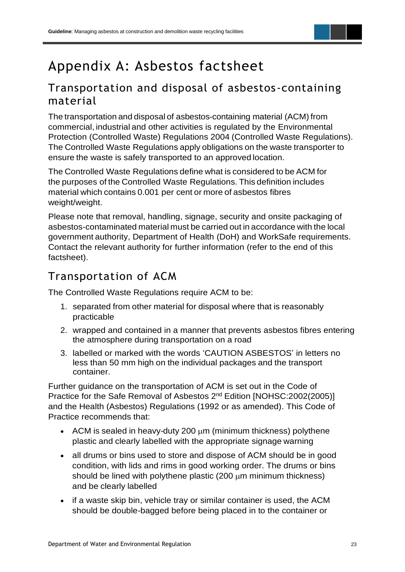# <span id="page-25-0"></span>Appendix A: Asbestos factsheet

### Transportation and disposal of asbestos -containing material

The transportation and disposal of asbestos-containing material (ACM) from commercial, industrial and other activities is regulated by the Environmental Protection (Controlled Waste) Regulations 2004 (Controlled Waste Regulations). The Controlled Waste Regulations apply obligations on the waste transporter to ensure the waste is safely transported to an approved location.

The Controlled Waste Regulations define what is considered to be ACM for the purposes of the Controlled Waste Regulations. This definition includes material which contains 0.001 per cent or more of asbestos fibres weight/weight.

Please note that removal, handling, signage, security and onsite packaging of asbestos-contaminated material must be carried out in accordance with the local government authority, Department of Health (DoH) and WorkSafe requirements. Contact the relevant authority for further information (refer to the end of this factsheet).

### Transportation of ACM

The Controlled Waste Regulations require ACM to be:

- 1. separated from other material for disposal where that is reasonably practicable
- 2. wrapped and contained in a manner that prevents asbestos fibres entering the atmosphere during transportation on a road
- 3. labelled or marked with the words 'CAUTION ASBESTOS' in letters no less than 50 mm high on the individual packages and the transport container.

Further guidance on the transportation of ACM is set out in the Code of Practice for the Safe Removal of Asbestos 2<sup>nd</sup> Edition [NOHSC:2002(2005)] and the Health (Asbestos) Regulations (1992 or as amended). This Code of Practice recommends that:

- ACM is sealed in heavy-duty 200  $\mu$ m (minimum thickness) polythene plastic and clearly labelled with the appropriate signage warning
- all drums or bins used to store and dispose of ACM should be in good condition, with lids and rims in good working order. The drums or bins should be lined with polythene plastic  $(200 \mu m \text{ minimum thickness})$ and be clearly labelled
- if a waste skip bin, vehicle tray or similar container is used, the ACM should be double-bagged before being placed in to the container or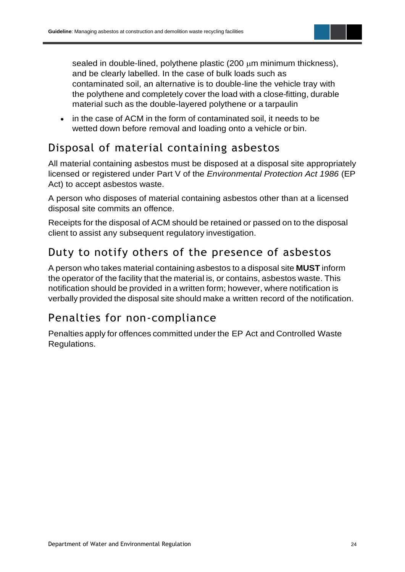sealed in double-lined, polythene plastic  $(200 \mu m \text{ minimum thickness})$ , and be clearly labelled. In the case of bulk loads such as contaminated soil, an alternative is to double-line the vehicle tray with the polythene and completely cover the load with a close-fitting, durable material such as the double-layered polythene or a tarpaulin

• in the case of ACM in the form of contaminated soil, it needs to be wetted down before removal and loading onto a vehicle or bin.

# Disposal of material containing asbestos

All material containing asbestos must be disposed at a disposal site appropriately licensed or registered under Part V of the *Environmental Protection Act 1986* (EP Act) to accept asbestos waste.

A person who disposes of material containing asbestos other than at a licensed disposal site commits an offence.

Receipts for the disposal of ACM should be retained or passed on to the disposal client to assist any subsequent regulatory investigation.

# Duty to notify others of the presence of asbestos

A person who takes material containing asbestos to a disposal site **MUST** inform the operator of the facility that the material is, or contains, asbestos waste. This notification should be provided in a written form; however, where notification is verbally provided the disposal site should make a written record of the notification.

### Penalties for non-compliance

Penalties apply for offences committed under the EP Act and Controlled Waste Regulations.